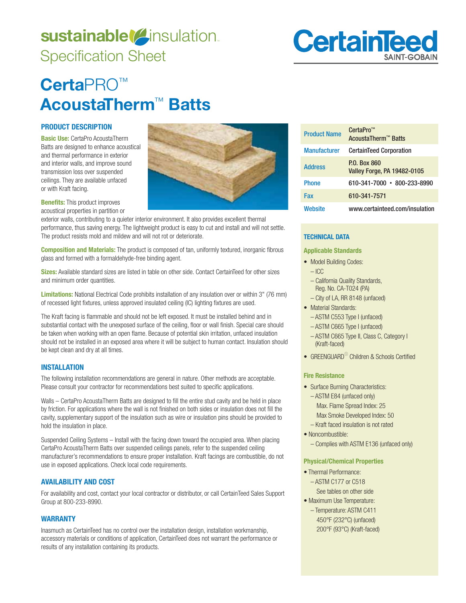# sustainable<sup>(2</sup>insulation. Specification Sheet



# **Certa**PRO™ **AcoustaTherm**™ **Batts**

## **PRODUCT DESCRIPTION**

**Basic Use:** CertaPro AcoustaTherm Batts are designed to enhance acoustical and thermal performance in exterior and interior walls, and improve sound transmission loss over suspended ceilings. They are available unfaced or with Kraft facing.

**Benefits:** This product improves acoustical properties in partition or

exterior walls, contributing to a quieter interior environment. It also provides excellent thermal performance, thus saving energy. The lightweight product is easy to cut and install and will not settle. The product resists mold and mildew and will not rot or deteriorate.

**Composition and Materials:** The product is composed of tan, uniformly textured, inorganic fibrous glass and formed with a formaldehyde-free binding agent.

**Sizes:** Available standard sizes are listed in table on other side. Contact CertainTeed for other sizes and minimum order quantities.

**Limitations:** National Electrical Code prohibits installation of any insulation over or within 3" (76 mm) of recessed light fixtures, unless approved insulated ceiling (IC) lighting fixtures are used.

The Kraft facing is flammable and should not be left exposed. It must be installed behind and in substantial contact with the unexposed surface of the ceiling, floor or wall finish. Special care should be taken when working with an open flame. Because of potential skin irritation, unfaced insulation should not be installed in an exposed area where it will be subject to human contact. Insulation should be kept clean and dry at all times.

#### **INSTALLATION**

The following installation recommendations are general in nature. Other methods are acceptable. Please consult your contractor for recommendations best suited to specific applications.

Walls – CertaPro AcoustaTherm Batts are designed to fill the entire stud cavity and be held in place by friction. For applications where the wall is not finished on both sides or insulation does not fill the cavity, supplementary support of the insulation such as wire or insulation pins should be provided to hold the insulation in place.

Suspended Ceiling Systems – Install with the facing down toward the occupied area. When placing CertaPro AcoustaTherm Batts over suspended ceilings panels, refer to the suspended ceiling manufacturer's recommendations to ensure proper installation. Kraft facings are combustible, do not use in exposed applications. Check local code requirements.

### **AVAILABILITY AND COST**

For availability and cost, contact your local contractor or distributor, or call CertainTeed Sales Support Group at 800-233-8990.

# **WARRANTY**

Inasmuch as CertainTeed has no control over the installation design, installation workmanship, accessory materials or conditions of application, CertainTeed does not warrant the performance or results of any installation containing its products.

| <b>Product Name</b> | CertaPro <sup>™</sup><br>AcoustaTherm™ Batts       |
|---------------------|----------------------------------------------------|
| <b>Manufacturer</b> | <b>CertainTeed Corporation</b>                     |
| <b>Address</b>      | P.O. Box 860<br><b>Valley Forge, PA 19482-0105</b> |
| <b>Phone</b>        | 610-341-7000 • 800-233-8990                        |
| Fax                 | 610-341-7571                                       |
| Website             | www.certainteed.com/insulation                     |

# **TECHNICAL DATA**

#### **Applicable Standards**

- Model Building Codes:  $-$  ICC
	- California Quality Standards, Reg. No. CA-T024 (PA)
	- City of LA, RR 8148 (unfaced)
- Material Standards:
	- ASTM C553 Type I (unfaced)
	- ASTM C665 Type I (unfaced)
	- ASTM C665 Type II, Class C, Category I (Kraft-faced)
- GREENGUARD $^{\circledR}$  Children & Schools Certified

### **Fire Resistance**

- Surface Burning Characteristics: - ASTM E84 (unfaced only) Max. Flame Spread Index: 25 Max Smoke Developed Index: 50 – Kraft faced insulation is not rated
- Noncombustible: - Complies with ASTM E136 (unfaced only)

### **Physical/Chemical Properties**

- Thermal Performance: - ASTM C177 or C518
- See tables on other side • Maximum Use Temperature:
- Temperature: ASTM C411  $450^{\circ}$ F (232 $^{\circ}$ C) (unfaced) 200°F (93°C) (Kraft-faced)